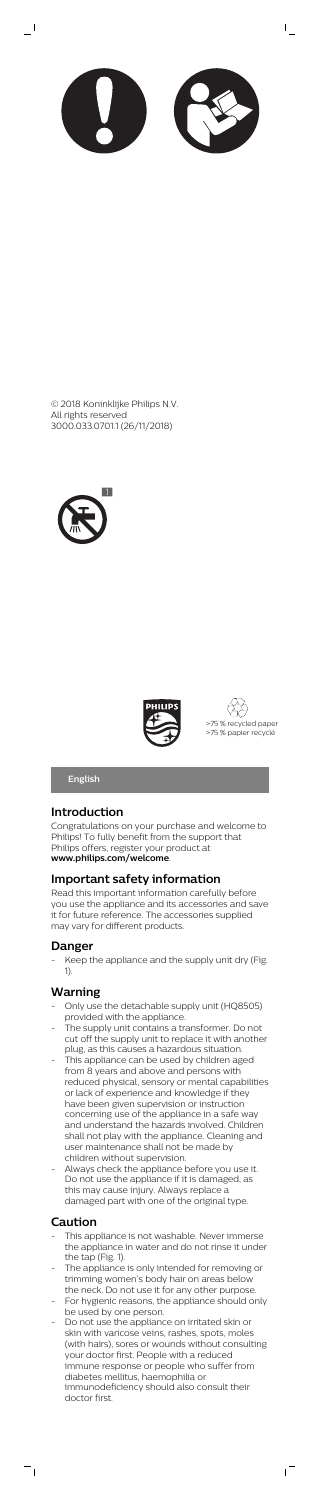

 $\mathsf{I}$ 

 $\overline{\phantom{0}}$ 







**English**

### **Introduction**

Congratulations on your purchase and welcome to Philips! To fully benefit from the support that Philips offers, register your product at **www.philips.com/welcome**.

### **Important safety information**

Keep the appliance and the supply unit dry (Fig. 1).

Read this important information carefully before you use the appliance and its accessories and save it for future reference. The accessories supplied may vary for different products.

### **Danger**

### **Warning**

- Only use the detachable supply unit (HQ8505) provided with the appliance.
- The supply unit contains a transformer. Do not cut off the supply unit to replace it with another plug, as this causes a hazardous situation.
- This appliance can be used by children aged from 8 years and above and persons with reduced physical, sensory or mental capabilities or lack of experience and knowledge if they have been given supervision or instruction concerning use of the appliance in a safe way and understand the hazards involved. Children shall not play with the appliance. Cleaning and user maintenance shall not be made by children without supervision. Always check the appliance before you use it. Do not use the appliance if it is damaged, as this may cause injury. Always replace a damaged part with one of the original type.

- This appliance is not washable. Never immerse the appliance in water and do not rinse it under the tap (Fig. 1).
- The appliance is only intended for removing or trimming women's body hair on areas below the neck. Do not use it for any other purpose.
- For hygienic reasons, the appliance should only be used by one person.
- Do not use the appliance on irritated skin or skin with varicose veins, rashes, spots, moles (with hairs), sores or wounds without consulting your doctor first. People with a reduced immune response or people who suffer from diabetes mellitus, haemophilia or immunodeficiency should also consult their doctor first.

 $\sqrt{2}$ 

## **Caution**

 $\overline{\phantom{a}}$ 

© 2018 Koninklijke Philips N.V. All rights reserved 3000.033.0701.1 (26/11/2018)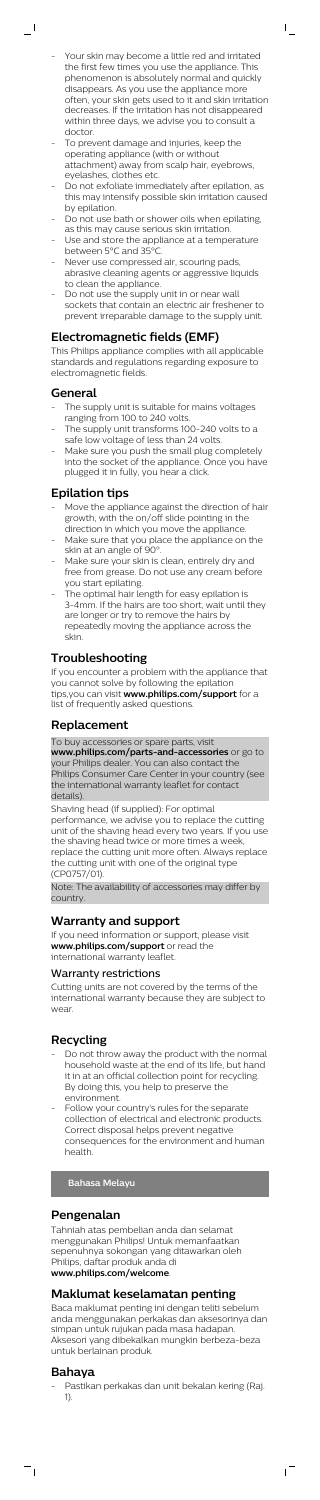Your skin may become a little red and irritated the first few times you use the appliance. This phenomenon is absolutely normal and quickly disappears. As you use the appliance more often, your skin gets used to it and skin irritation decreases. If the irritation has not disappeared within three days, we advise you to consult a doctor.

 $\bar{\Gamma}$ 

- To prevent damage and injuries, keep the operating appliance (with or without attachment) away from scalp hair, eyebrows, eyelashes, clothes etc.
- Do not exfoliate immediately after epilation, as this may intensify possible skin irritation caused by epilation.
- Do not use bath or shower oils when epilating, as this may cause serious skin irritation.
- Use and store the appliance at a temperature between 5°C and 35°C.
- Never use compressed air, scouring pads, abrasive cleaning agents or aggressive liquids to clean the appliance.
- Do not use the supply unit in or near wall sockets that contain an electric air freshener to prevent irreparable damage to the supply unit.

- The supply unit is suitable for mains voltages ranging from 100 to 240 volts.
- The supply unit transforms 100-240 volts to a safe low voltage of less than 24 volts.
- Make sure you push the small plug completely into the socket of the appliance. Once you have plugged it in fully, you hear a click.

- Move the appliance against the direction of hair growth, with the on/off slide pointing in the direction in which you move the appliance.
- Make sure that you place the appliance on the skin at an angle of 90°
- Make sure your skin is clean, entirely dry and free from grease. Do not use any cream before you start epilating.
- The optimal hair length for easy epilation is 3-4mm. If the hairs are too short, wait until they are longer or try to remove the hairs by repeatedly moving the appliance across the skin.

### **Electromagnetic fields (EMF)**

This Philips appliance complies with all applicable standards and regulations regarding exposure to electromagnetic fields.

### **General**

 $\overline{\phantom{a}}$  (

### **Epilation tips**

Do not throw away the product with the normal household waste at the end of its life, but hand it in at an official collection point for recycling. By doing this, you help to preserve the environment. Follow your country's rules for the separate collection of electrical and electronic products. Correct disposal helps prevent negative consequences for the environment and human health.

Pastikan perkakas dan unit bekalan kering (Raj. 1).

 $\sqrt{2}$ 

## **Troubleshooting**

If you encounter a problem with the appliance that you cannot solve by following the epilation tips,you can visit **www.philips.com/support** for a list of frequently asked questions.

### **Replacement**

To buy accessories or spare parts, visit

**www.philips.com/parts-and-accessories** or go to your Philips dealer. You can also contact the Philips Consumer Care Center in your country (see the international warranty leaflet for contact details).

Shaving head (if supplied): For optimal performance, we advise you to replace the cutting unit of the shaving head every two years. If you use the shaving head twice or more times a week, replace the cutting unit more often. Always replace the cutting unit with one of the original type (CP0757/01).

Note: The availability of accessories may differ by country.

### **Warranty and support**

If you need information or support, please visit **www.philips.com/support** or read the international warranty leaflet.

### Warranty restrictions

Cutting units are not covered by the terms of the international warranty because they are subject to wear.

### **Recycling**

## **Bahasa Melayu**

## **Pengenalan**

Tahniah atas pembelian anda dan selamat menggunakan Philips! Untuk memanfaatkan sepenuhnya sokongan yang ditawarkan oleh Philips, daftar produk anda di **www.philips.com/welcome**.

## **Maklumat keselamatan penting**

Baca maklumat penting ini dengan teliti sebelum anda menggunakan perkakas dan aksesorinya dan simpan untuk rujukan pada masa hadapan. Aksesori yang dibekalkan mungkin berbeza-beza untuk berlainan produk.

## **Bahaya**

 $\overline{\phantom{a}}$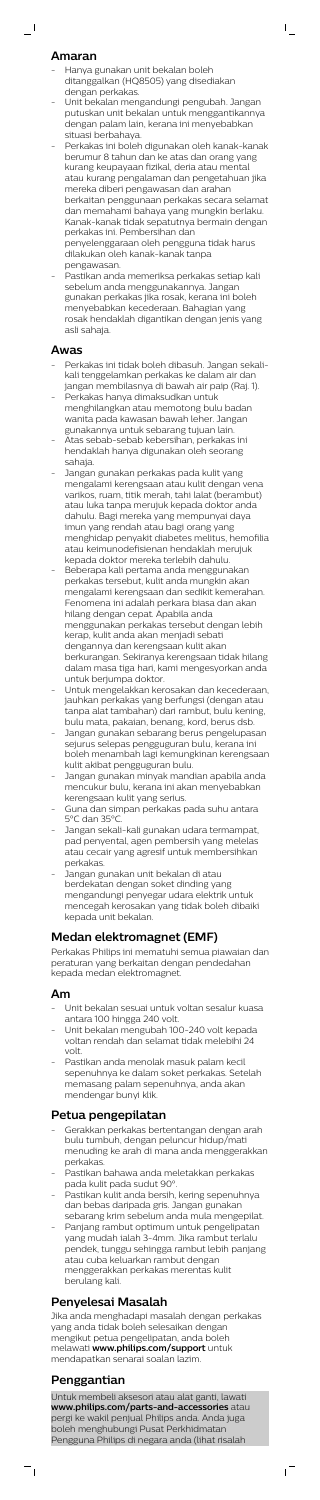### **Amaran**

 $\overline{\phantom{0}}$ 

- Hanya gunakan unit bekalan boleh ditanggalkan (HQ8505) yang disediakan dengan perkakas.
- Unit bekalan mengandungi pengubah. Jangan putuskan unit bekalan untuk menggantikannya dengan palam lain, kerana ini menyebabkan situasi berbahaya.

 $\mathsf{I}$ 

- Perkakas ini boleh digunakan oleh kanak-kanak berumur 8 tahun dan ke atas dan orang yang kurang keupayaan fizikal, deria atau mental atau kurang pengalaman dan pengetahuan jika mereka diberi pengawasan dan arahan berkaitan penggunaan perkakas secara selamat dan memahami bahaya yang mungkin berlaku. Kanak-kanak tidak sepatutnya bermain dengan perkakas ini. Pembersihan dan penyelenggaraan oleh pengguna tidak harus dilakukan oleh kanak-kanak tanpa pengawasan.
- Pastikan anda memeriksa perkakas setiap kali sebelum anda menggunakannya. Jangan gunakan perkakas jika rosak, kerana ini boleh menyebabkan kecederaan. Bahagian yang rosak hendaklah digantikan dengan jenis yang asli sahaja.

### **Awas**

- Perkakas ini tidak boleh dibasuh. Jangan sekalikali tenggelamkan perkakas ke dalam air dan jangan membilasnya di bawah air paip (Raj. 1).
- Perkakas hanya dimaksudkan untuk menghilangkan atau memotong bulu badan wanita pada kawasan bawah leher. Jangan gunakannya untuk sebarang tujuan lain.
- Atas sebab-sebab kebersihan, perkakas ini hendaklah hanya digunakan oleh seorang sahaja.
- Jangan gunakan perkakas pada kulit yang mengalami kerengsaan atau kulit dengan vena varikos, ruam, titik merah, tahi lalat (berambut) atau luka tanpa merujuk kepada doktor anda dahulu. Bagi mereka yang mempunyai daya imun yang rendah atau bagi orang yang menghidap penyakit diabetes melitus, hemofilia atau keimunodefisienan hendaklah merujuk kepada doktor mereka terlebih dahulu.
- Beberapa kali pertama anda menggunakan perkakas tersebut, kulit anda mungkin akan mengalami kerengsaan dan sedikit kemerahan. Fenomena ini adalah perkara biasa dan akan hilang dengan cepat. Apabila anda menggunakan perkakas tersebut dengan lebih kerap, kulit anda akan menjadi sebati dengannya dan kerengsaan kulit akan berkurangan. Sekiranya kerengsaan tidak hilang dalam masa tiga hari, kami mengesyorkan anda untuk berjumpa doktor.
- Untuk mengelakkan kerosakan dan kecederaan, jauhkan perkakas yang berfungsi (dengan atau tanpa alat tambahan) dari rambut, bulu kening, bulu mata, pakaian, benang, kord, berus dsb.
- Jangan gunakan sebarang berus pengelupasan sejurus selepas pengguguran bulu, kerana ini boleh menambah lagi kemungkinan kerengsaan kulit akibat pengguguran bulu.
- Jangan gunakan minyak mandian apabila anda mencukur bulu, kerana ini akan menyebabkan kerengsaan kulit yang serius.
- Guna dan simpan perkakas pada suhu antara 5°C dan 35°C.
- Jangan sekali-kali gunakan udara termampat, pad penyental, agen pembersih yang melelas atau cecair yang agresif untuk membersihkan perkakas.
- Jangan gunakan unit bekalan di atau berdekatan dengan soket dinding yang mengandungi penyegar udara elektrik untuk mencegah kerosakan yang tidak boleh dibaiki kepada unit bekalan.

## **Medan elektromagnet (EMF)**

Perkakas Philips ini mematuhi semua piawaian dan peraturan yang berkaitan dengan pendedahan kepada medan elektromagnet.

### **Am**

- Unit bekalan sesuai untuk voltan sesalur kuasa antara 100 hingga 240 volt.
- Unit bekalan mengubah 100-240 volt kepada voltan rendah dan selamat tidak melebihi 24 volt.
- Pastikan anda menolak masuk palam kecil sepenuhnya ke dalam soket perkakas. Setelah memasang palam sepenuhnya, anda akan mendengar bunyi klik.

## **Petua pengepilatan**

- Gerakkan perkakas bertentangan dengan arah bulu tumbuh, dengan peluncur hidup/mati menuding ke arah di mana anda menggerakkan perkakas.
- Pastikan bahawa anda meletakkan perkakas pada kulit pada sudut 90°.
- Pastikan kulit anda bersih, kering sepenuhnya dan bebas daripada gris. Jangan gunakan sebarang krim sebelum anda mula mengepilat.
- Panjang rambut optimum untuk pengelipatan yang mudah ialah 3-4mm. Jika rambut terlalu pendek, tunggu sehingga rambut lebih panjang atau cuba keluarkan rambut dengan menggerakkan perkakas merentas kulit berulang kali.

## **Penyelesai Masalah**

Jika anda menghadapi masalah dengan perkakas yang anda tidak boleh selesaikan dengan mengikut petua pengelipatan, anda boleh melawati **www.philips.com/support** untuk mendapatkan senarai soalan lazim.

## **Penggantian**

 $\frac{1}{\sqrt{2}}$ 

Untuk membeli aksesori atau alat ganti, lawati **www.philips.com/parts-and-accessories** atau pergi ke wakil penjual Philips anda. Anda juga boleh menghubungi Pusat Perkhidmatan Pengguna Philips di negara anda (lihat risalah

 $\mathbf{r}$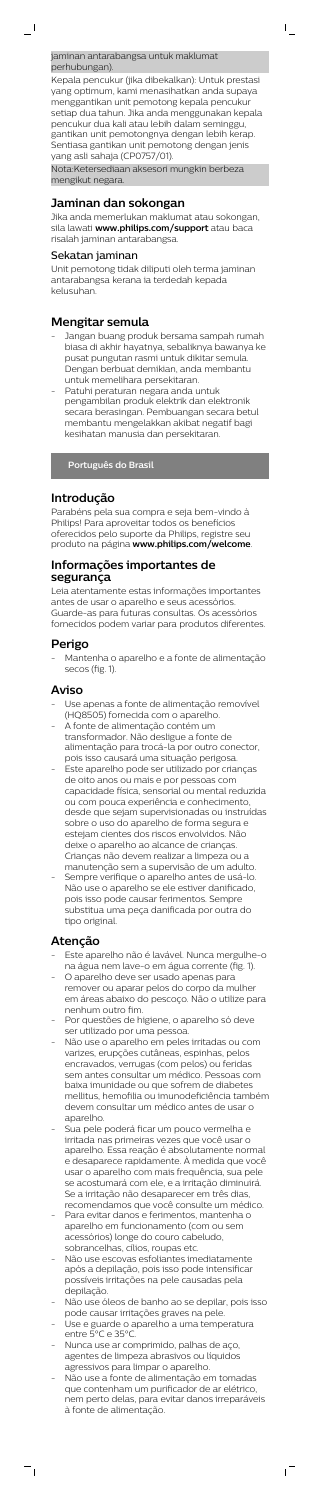jaminan antarabangsa untuk maklumat perhubungan).

Kepala pencukur (jika dibekalkan): Untuk prestasi yang optimum, kami menasihatkan anda supaya menggantikan unit pemotong kepala pencukur setiap dua tahun. Jika anda menggunakan kepala pencukur dua kali atau lebih dalam seminggu, gantikan unit pemotongnya dengan lebih kerap. Sentiasa gantikan unit pemotong dengan jenis yang asli sahaja (CP0757/01).

 $\mathsf{I}$ 

Nota:Ketersediaan aksesori mungkin berbeza mengikut negara.

### **Jaminan dan sokongan**

Jika anda memerlukan maklumat atau sokongan, sila lawati **www.philips.com/support** atau baca risalah jaminan antarabangsa.

- Jangan buang produk bersama sampah rumah biasa di akhir hayatnya, sebaliknya bawanya ke pusat pungutan rasmi untuk dikitar semula. Dengan berbuat demikian, anda membantu untuk memelihara persekitaran.
- Patuhi peraturan negara anda untuk pengambilan produk elektrik dan elektronik secara berasingan. Pembuangan secara betul membantu mengelakkan akibat negatif bagi kesihatan manusia dan persekitaran.

### Sekatan jaminan

Unit pemotong tidak diliputi oleh terma jaminan antarabangsa kerana ia terdedah kepada kelusuhan.

### **Mengitar semula**

**Português do Brasil**

### **Introdução**

Parabéns pela sua compra e seja bem-vindo à Philips! Para aproveitar todos os benefícios oferecidos pelo suporte da Philips, registre seu produto na página **www.philips.com/welcome**.

- Use apenas a fonte de alimentação removível (HQ8505) fornecida com o aparelho.
- A fonte de alimentação contém um transformador. Não desligue a fonte de alimentação para trocá-la por outro conector, pois isso causará uma situação perigosa.
- Este aparelho pode ser utilizado por crianças de oito anos ou mais e por pessoas com capacidade física, sensorial ou mental reduzida ou com pouca experiência e conhecimento, desde que sejam supervisionadas ou instruídas sobre o uso do aparelho de forma segura e estejam cientes dos riscos envolvidos. Não deixe o aparelho ao alcance de crianças. Crianças não devem realizar a limpeza ou a
- manutenção sem a supervisão de um adulto. Sempre verifique o aparelho antes de usá-lo. Não use o aparelho se ele estiver danificado, pois isso pode causar ferimentos. Sempre substitua uma peça danificada por outra do tipo original.

### **Informações importantes de segurança**

Leia atentamente estas informações importantes antes de usar o aparelho e seus acessórios. Guarde-as para futuras consultas. Os acessórios fornecidos podem variar para produtos diferentes.

### **Perigo**

- Mantenha o aparelho e a fonte de alimentação secos (fig. 1).

### **Aviso**

### **Atenção**

 $\frac{1}{\sqrt{2}}$ 

- Este aparelho não é lavável. Nunca mergulhe-o na água nem lave-o em água corrente (fig. 1).
- O aparelho deve ser usado apenas para remover ou aparar pelos do corpo da mulher em áreas abaixo do pescoço. Não o utilize para nenhum outro fim.
- Por questões de higiene, o aparelho só deve ser utilizado por uma pessoa.
- Não use o aparelho em peles irritadas ou com varizes, erupções cutâneas, espinhas, pelos encravados, verrugas (com pelos) ou feridas sem antes consultar um médico. Pessoas com baixa imunidade ou que sofrem de diabetes mellitus, hemofilia ou imunodeficiência também devem consultar um médico antes de usar o aparelho. Sua pele poderá ficar um pouco vermelha e irritada nas primeiras vezes que você usar o aparelho. Essa reação é absolutamente normal e desaparece rapidamente. À medida que você usar o aparelho com mais frequência, sua pele se acostumará com ele, e a irritação diminuirá. Se a irritação não desaparecer em três dias, recomendamos que você consulte um médico. Para evitar danos e ferimentos, mantenha o aparelho em funcionamento (com ou sem acessórios) longe do couro cabeludo, sobrancelhas, cílios, roupas etc. Não use escovas esfoliantes imediatamente após a depilação, pois isso pode intensificar possíveis irritações na pele causadas pela depilação. Não use óleos de banho ao se depilar, pois isso pode causar irritações graves na pele. - Use e guarde o aparelho a uma temperatura entre 5°C e 35°C. Nunca use ar comprimido, palhas de aço, agentes de limpeza abrasivos ou líquidos agressivos para limpar o aparelho. Não use a fonte de alimentação em tomadas que contenham um purificador de ar elétrico, nem perto delas, para evitar danos irreparáveis à fonte de alimentação.

 $\sqrt{2}$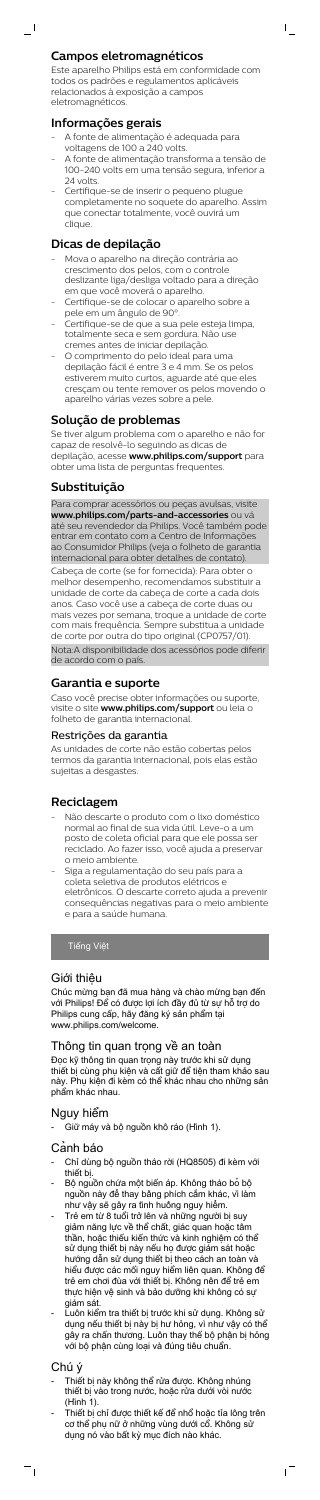### **Campos eletromagnéticos**

Este aparelho Philips está em conformidade com todos os padrões e regulamentos aplicáveis relacionados à exposição a campos eletromagnéticos.

 $\mathsf{I}$ 

### **Informações gerais**

 $\overline{\phantom{0}}$ 

- A fonte de alimentação é adequada para voltagens de 100 a 240 volts.
- A fonte de alimentação transforma a tensão de 100-240 volts em uma tensão segura, inferior a 24 volts.
- Certifique-se de inserir o pequeno plugue completamente no soquete do aparelho. Assim que conectar totalmente, você ouvirá um clique.

### **Dicas de depilação**

- Mova o aparelho na direção contrária ao crescimento dos pelos, com o controle deslizante liga/desliga voltado para a direção em que você moverá o aparelho.
- Certifique-se de colocar o aparelho sobre a pele em um ângulo de 90°.
- Certifique-se de que a sua pele esteja limpa, totalmente seca e sem gordura. Não use cremes antes de iniciar depilação.
- O comprimento do pelo ideal para uma depilação fácil é entre 3 e 4 mm. Se os pelos estiverem muito curtos, aguarde até que eles cresçam ou tente remover os pelos movendo o aparelho várias vezes sobre a pele.

### **Solução de problemas**

Se tiver algum problema com o aparelho e não for capaz de resolvê-lo seguindo as dicas de depilação, acesse **www.philips.com/support** para obter uma lista de perguntas frequentes.

### **Substituição**

Đọc kỹ thông tin quan trọng này trước khi sử dụng thiết bị cùng phụ kiện và cất giữ để tiện tham khảo sau 'hu kiện đi kèm có thể khác nhau cho những

Para comprar acessórios ou peças avulsas, visite **www.philips.com/parts-and-accessories** ou vá até seu revendedor da Philips. Você também pode entrar em contato com a Centro de Informações ao Consumidor Philips (veja o folheto de garantia internacional para obter detalhes de contato). Cabeça de corte (se for fornecida): Para obter o melhor desempenho, recomendamos substituir a unidade de corte da cabeça de corte a cada dois anos. Caso você use a cabeça de corte duas ou mais vezes por semana, troque a unidade de corte com mais frequência. Sempre substitua a unidade de corte por outra do tipo original (CP0757/01). Nota:A disponibilidade dos acessórios pode diferir de acordo com o país.

### **Garantia e suporte**

Caso você precise obter informações ou suporte, visite o site **www.philips.com/support** ou leia o folheto de garantia internacional.

- Thiết bị này không thể rửa được. Không nhúng thiết bị vào trong nước, hoặc rửa dưới vòi nước (Hình 1).
- Thiết bị chỉ được thiết kế để nhổ hoặc tỉa lông trên cơ thể phụ nữ ở những vùng dưới cổ. Không sử dụng nó vào bất kỳ mục đích nào khác.

 $\overline{1}$ 

### Restrições da garantia

As unidades de corte não estão cobertas pelos termos da garantia internacional, pois elas estão sujeitas a desgastes.

### **Reciclagem**

- Não descarte o produto com o lixo doméstico normal ao final de sua vida útil. Leve-o a um posto de coleta oficial para que ele possa ser reciclado. Ao fazer isso, você ajuda a preservar o meio ambiente.
- Siga a regulamentação do seu país para a coleta seletiva de produtos elétricos e eletrônicos. O descarte correto ajuda a prevenir consequências negativas para o meio ambiente e para a saúde humana.

Tiếng Việt

### Giới thiệu

Chúc mừng bạn đã mua hàng và chào mừng bạn đến với Philips! Để có được lợi ích đầy đủ từ sự hỗ trợ do Philips cung cấp, hãy đăng ký sản phẩm tại www.philips.com/welcome.

### Thông tin quan trong về an toàn

phẩm khác nhau.

## Nguy hiểm

- Giữ máy và bộ nguồn khô ráo (Hình 1).

## Cảnh báo

- Chỉ dùng bộ nguồn tháo rời (HQ8505) đi kèm với thiết bị.
- Bộ nguồn chứa một biến áp. Không tháo bỏ bộ nguồn này để thay bằng phích cắm khác, vì làm như vậy sẽ gây ra tình huống nguy hiểm.
- Trẻ em từ 8 tuổi trở lên và những người bị suy giảm năng lực về thể chất, giác quan hoặc tâm thần, hoặc thiếu kiến thức và kinh nghiệm có thể sử dụng thiết bị này nếu họ được giám sát hoặc hướng dẫn sử dụng thiết bị theo cách an toàn và hiểu được các mối nguy hiểm liên quan. Không để trẻ em chơi đùa với thiết bị. Không nên để trẻ em thực hiện vệ sinh và bảo dưỡng khi không có sự giám sát.
- Luôn kiểm tra thiết bị trước khi sử dụng. Không sử dụng nếu thiết bị này bị hư hỏng, vì như vậy có thể gây ra chấn thương. Luôn thay thế bộ phận bị hỏng với bộ phận cùng loại và đúng tiêu chuẩn.

## Chú ý

 $\frac{1}{\sqrt{2}}$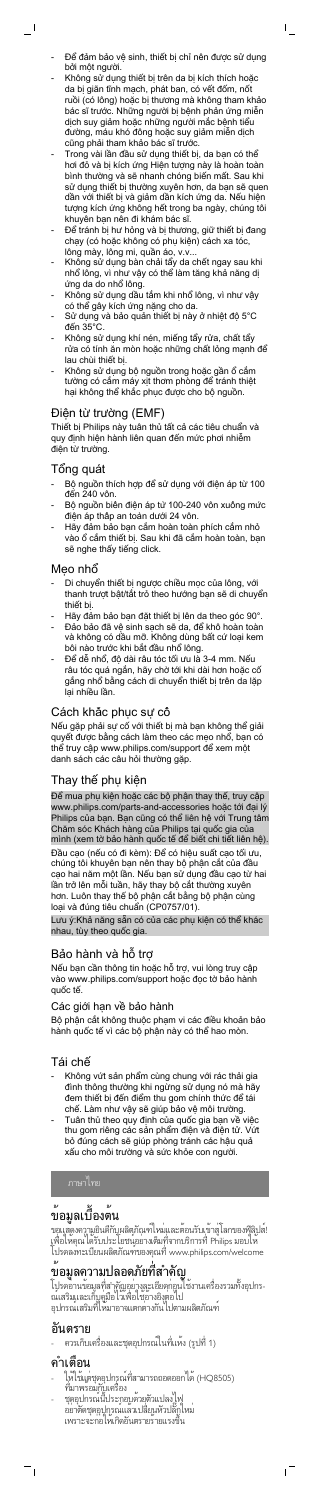Để đảm bảo vệ sinh, thiết bị chỉ nên được sử dụng bởi một người.

 $\mathsf{I}$ 

- Không sử dụng thiết bị trên da bị kích thích hoặc da bị giãn tĩnh mạch, phát ban, có vết đốm, nốt ruồi (có lông) hoặc bị thương mà không tham khảo bác sĩ trước. Những người bị bệnh phản ứng miễn dịch suy giảm hoặc những người mắc bệnh tiểu đường, máu khó đông hoặc suy giảm miễn dịch cũng phải tham khảo bác sĩ trước.
- Trong vài lần đầu sử dụng thiết bị, da bạn có thể hơi đỏ và bị kích ứng Hiện tượng này là hoàn toàn bình thường và sẽ nhanh chóng biến mất. Sau khi sử dụng thiết bị thường xuyên hơn, da bạn sẽ quen dần với thiết bị và giảm dần kích ứng da. Nếu hiện tượng kích ứng không hết trong ba ngày, chúng tôi khuyên bạn nên đi khám bác sĩ.
- Để tránh bị hư hỏng và bị thương, giữ thiết bị đang chạy (có hoặc không có phụ kiện) cách xa tóc, lông mày, lông mi, quần áo, v.v...
- Không sử dụng bàn chải tẩy da chết ngay sau khi nhổ lông, vì như vậy có thể làm tăng khả năng dị ứng da do nhổ lông.
- Không sử dụng dầu tắm khi nhổ lông, vì như vậy có thể gây kích ứng nặng cho da.
- Sử dụng và bảo quản thiết bị này ở nhiệt độ 5°C đến 35°C.
- Không sử dụng khí nén, miếng tẩy rửa, chất tẩy rửa có tính ăn mòn hoặc những chất lỏng mạnh để lau chùi thiết bị.
- Không sử dụng bộ nguồn trong hoặc gần ổ cắm tường có cắm máy xịt thơm phòng để tránh thiệt hại không thể khắc phục được cho bộ nguồn.

- Bộ nguồn thích hợp để sử dụng với điện áp từ 100 đến 240 vôn.
- Bộ nguồn biên điện áp từ 100-240 vôn xuông mức điện áp thấp an toàn dưới 24 vôn.
- Hãy đảm bảo bạn cắm hoàn toàn phích cắm nhỏ vào ổ cắm thiết bị. Sau khi đã cắm hoàn toàn, bạn sẽ nghe thấy tiếng click.

- Di chuyển thiết bị ngược chiều mọc của lông, với thanh trượt bật/tắt trỏ theo hướng bạn sẽ di chuyển thiết bị.
- Hãy đảm bảo bạn đặt thiết bị lên da theo góc 90°.
- Đảo bảo đã vệ sinh sạch sẽ da, để khô hoàn toàn và không có dầu mỡ. Không dùng bất cứ loại kem bôi nào trước khi bắt đầu nhổ lông.
- Để dễ nhổ, độ dài râu tóc tối ưu là 3-4 mm. Nếu râu tóc quá ngắn, hãy chờ tới khi dài hơn hoặc cố gắng nhổ bằng cách di chuyển thiết bị trên da lặp lại nhiều lần.

### Điện từ trường (EMF)

Thiết bị Philips này tuân thủ tất cả các tiêu chuẩn và quy định hiện hành liên quan đến mức phơi nhiễm điện từ trường.

### Tổng quát

 $\overline{\phantom{0}}$ 

### Mẹo nhổ

ขอแสดงความยินดีกับผลิตภิณฑ์ เหม่และตอนรับเขาสู่ เลกของฟิลิปส! เพื่อไหคุณ ไดริบประโยชนุอยางเต็มที่จากบริการที่ Philips มอบไห โปรดลงทะเบียนผลิตภัณฑ์ของคุณที่ www.philips.com/welcome

### Cách khắc phục sự cố

Nếu gặp phải sự cố với thiết bị mà bạn không thể giải quyết được bằng cách làm theo các mẹo nhổ, bạn có thể truy cập www.philips.com/support để xem một danh sách các câu hỏi thường gặp.

### Thay thế phụ kiện

Để mua phụ kiện hoặc các bộ phận thay thế, truy cập www.philips.com/parts-and-accessories hoặc tới đại lý Philips của bạn. Bạn cũng có thể liên hệ với Trung tâm Chăm sóc Khách hàng của Philips tại quốc gia của mình (xem tờ bảo hành quốc tế để biết chi tiết liên hệ). Đầu cạo (nếu có đi kèm): Để có hiệu suất cạo tối ưu, chúng tôi khuyên bạn nên thay bộ phận cắt của đầu cạo hai năm một lần. Nếu bạn sử dụng đầu cạo từ hai lần trở lên mỗi tuần, hãy thay bộ cắt thường xuyên hơn. Luôn thay thế bộ phận cắt bằng bộ phận cùng loại và đúng tiêu chuẩn (CP0757/01).

Lưu ý:Khả năng sẵn có của các phụ kiện có thể khác nhau, tùy theo quốc gia.

### Bảo hành và hỗ trợ

Nếu bạn cần thông tin hoặc hỗ trợ, vui lòng truy cập vào www.philips.com/support hoặc đọc tờ bảo hành quốc tế.

### Các giới hạn về bảo hành

Bộ phận cắt không thuộc phạm vi các điều khoản bảo hành quốc tế vì các bộ phận này có thể hao mòn.

### Tái chế

- Không vứt sản phẩm cùng chung với rác thải gia đình thông thường khi ngừng sử dụng nó mà hãy đem thiết bị đến điểm thu gom chính thức để tái chế. Làm như vậy sẽ giúp bảo vệ môi trường. - Tuân thủ theo quy định của quốc gia bạn về việc thu gom riêng các sản phẩm điện và điện tử. Vứt bỏ đúng cách sẽ giúp phòng tránh các hậu quả xấu cho môi trường và sức khỏe con người.

# ขอมูลเบื้องต<sup>้</sup>น

# ข้อมูลความปลอดภัยที่สำคัญ

โปรดอานขอมูลที่สำคัญอย่างละเอียดก่อนไช่งานเครื่องรวมทั้งอุปกร-ณเสริมและเก็บคู่มือ ไวเพื่อไช่อางอิงุตอ ไป อุปกรณเสริมที่ไหมาอาจแตกต่างกัน ไปตามผลิตภัณฑ

## อันตราย

ควรเก็บเครื่องและชุดอุปกรณ์ในที่แห้ง (รูปที่ 1)

## คำเตือน

 $\overline{\phantom{a}}$ 

 ให้ใช้แต่ชุดอุปกรณ์ที่สามารถถอดออกได้ (HQ8505) ที่มาพร้อมกับเครื่อง

 $\sqrt{ }$ 

- ชุดอุปกรณนประกอบดวยตาแปลงไฟ อย่าตดชุดอุปกรณ์แล้วเปลี่ยนหวปลักไหม เพราะจะก่อโหเกิดอนตรายรายแรงข<mark>้</mark>น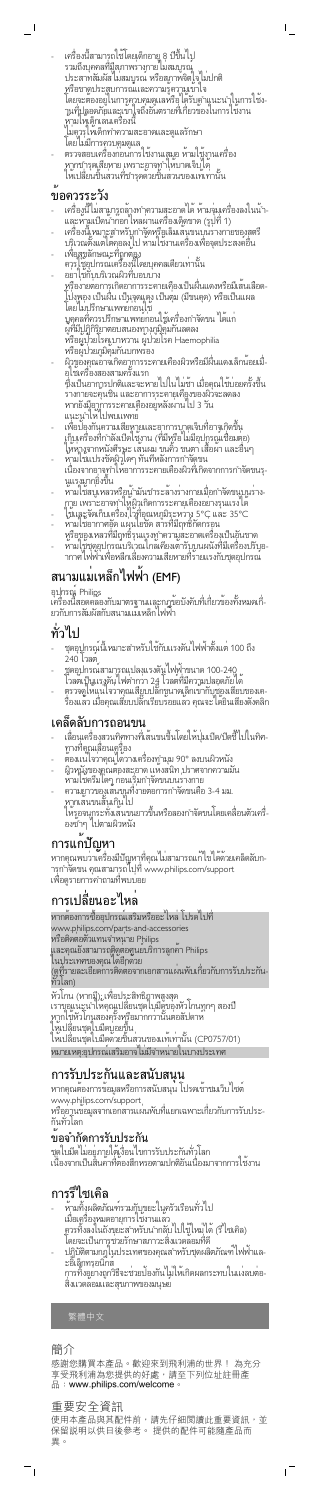- เครื่องนสามารถไชไดยเด็กอายุ 8 ปีขึ้นไป รวมถึงบุคคลที่มู่สุภาพรางกาย เมสมบูรณุ ประสาทสมผส เมสมบูรณ์ หรือสุภาพจิตใจ เมปกติ หรือขาดประสบการณ์และความรู้ความเข้าใจ โดยจะต้องอยู่ในการควบคุมดูแลหรือได้รับคำแนะนำในการใช้ง-านที่ปลอดภยและเขาใจถึงอนตรายที่เกี่ยวของในการไช่งาน หามใหเด็กเล่นเครื่องนี้ ู เมคุวรุ เหเด็กทำความสะอาดและดูแลรกษา

 $\mathsf{L}$ 

โดยไม่มีการควบคุมดูแล - ตรวจสอบเครื่องก่อนการไชงานเสมอ หามไช้งานเครื่อง หากชารุดเสียหาย เพราะอาจทำไหบาดเจ็บ เด หากชำรุดเสียหาย เพราะอาจทาเหบ ตเจบ เพ<br>ให้เปลี่ยนชิ้นส่วนที่ชำรุดด้วยชิ้นส่วนของแท้เท่านั้น

## ขอควรระวัง

 $\overline{\phantom{0}}$ 

- เครื่องนี้ ไม่สามารถลางทำความสะอาดได้ หามจุมเครื่องลงในน้ำ-และหามเปิดน้ำกอก เหลผ่านเครื่องเด็ดขาด (รูปที่ 1)
- เครื่องนี้เหมาะสำหรับกำจัดหรือเล็มเสนขนบนรางกายของสตรี บริเวณตงแต่เตคอลงไป หามไช่งานเครื่องเพื่อจุดประสงค์อื่น
- เพื่อสุขลกษณะที่ถูกต้อง ควรไช้อุปกรณเครื่องนี้โดยบุคคลเดียวเท่านั้น อย่าใช้กับบริเวณผิวที่บอบบาง
- หรือง่ายต่อการเกิดอาการระคายเคืองเป็นผื่นแดงหรือมีเส้นเลือด-โป่งพอง เป็นผื่น เป็นจุดแดง เป็นตุ่ม (มีขนคุด) หรือเป็นแผล โดยไม่ปรึกษาแพทย์ก่อนใช้ บุคคลที่ควรปรึกษาแพทย์ก่อนใช้เครื่องกำจัดขน ได้แก่ ผู้ที่มีปฏิกิริยาตอบสนองทางภูมิคุ้มกันลดลง หรือผู้ป่วยโรคเบาหวาน ผู้ป่วยโรค Haemophilia หรือผู้ป่วยภูมิคุ้มกันบกพร่อง
- ผ้าของคุณอาจเกิดอาการระคายเคืองผิวหรือมีผื่นแดงเล็กน้อยเมื่-อุโซเครื่องสองสามครั้งแรก ซึ่งเป็นอาการปกติและจะหายไปในไม่ช้า เมื่อคุณใช้บ่อยครั้งขึ้น ร่างกายจะคุ้นชิน และอาการระคายเคืองของผิวจะลดลง หากยงมู่อาการระคายเคืองอยู่หลงผ่าน เป 3 วัน แนะนำเห เปพบแพทย
- เพื่อป้องกนุความเสียหายและอาการบาดเจ็บที่อาจเกิดขึ้น เก็บเครื่องที่กำลังเปิดไซงาน (ทีมหรือไม่มีอุปกรณ์เชื่อมต่อ) โห่ห่างจากหน่งศีรษะ เส้นผม ขนคิ้ว ขนตา เสื้อผ่า และอื่นๆ
- หามไช่แปรงขดผู้วูไดๆ ทนที่หลงการกำจุดขน เนื่องจากอาจทำไหอาการระคายเคืองผิวที่เกิดจากการกำจดขนรุ-นแรงมากยิ่งขึ้น
- หามไชสบูเหลวหรักนู่ามนชำระลางรางกายเมื่อกำจดขนุบนราง-กาย เพราะอาจทำไห้ผู้วุเกิดการระคายเคืองอย่างรุนแรง ได
- ใช้และจัดเก็บเครื่องไว้ที่อุณหภูมิระหว่าง 5°C และ 35°C - หามไชอากาศอุด แผ่นไยขด สารที่มีฤทธิ์กดกรอน
- หรือของเหลวที่มีฤทธิ์รุนแรงทำความสะอาดเครื่องเป็นอันขาด - หามไซชุดอุปกรณบริเวณไกลเคียงเตารบุบนผนงที่มีเครื่องปรบอ-ากาศไฟฟ้าเพื่อหลีกเลี่ยงความเสียหายที่ร้ายแรงกับชุดอุปกรณ์

- -------<br>เลื่อนเครื่องสวนทิศทางที่เส้นขนขึ้นโดยให้ปุ่มเปิด/ปิดชี้ไปในทิศ-ทางที่คุณเลื่อนเครื่อง
- ตองแน่โจวาคุณ ไดวางเครื่องทำมุม 90° ลงบนผิวหนัง
- ผิวหนังของคุณต้องสะอาด แห้งสนิท ปราศจากความมัน
- หามไชคริมไดๆ ก่อนเริ่มกำจัดขนบนรางกาย
- ความยาวของเสนขนที่ง่ายต่อการกำจัดขนคือ 3-4 มม. หากเสนขนสันเกิน ไป
	- ให้รอจนกระทั่งเส้นขนยาวขึ้นหรือลองกำจัดขนโดยเคลื่อนตัวเครื่ องซ้ำๆ ไปตามผิวหนัง

หากคุณพบวาเครื่องมีปัญหาที่คุณ ไม่สามารถแก่ ไข ได้ดวยเคล็ดลับก-ารกำจัดขน คุณสามารถไปที่ www.philips.com/support เพื่อดูรายการคำถามที่พบบ่อย

หากต้องการซื้ออุปกรณ์เสริมหรืออะไหล่ โปรดไปที่ www.philips.com/parts-and-accessories หรือติดต่อตัวแทนจำหนาย Philips และคุณยงสามารถตู้ดูต่อศูนยบริการลูกค่า Philips ในประเทศของคุณได้อีกด้วย (ดูที่รายละเอียดการติดต่อจากเอกสารแผ่นพบเกี่ยวกบการรบประกัน-ทั่วโลก) หิวโกน (หากมี): เพื่อประสิทธิภาพสูงสุด เราขอแนะนำไหคุณเปลี่ยนชุดไบมีดูของหัวไกนทุกๆ สองปี หากไซหัวไกนสองครั้งหรือมากกวานั้นต่อสัปดาห

## สนามแม่เหล็กไฟฟ้า (EMF)

อุปุกรณู Philipูs

เครื่องนี้สอดคลองกับมาตรฐานและกฎขอบงคับที่เกี่ยวของทั้งหมดเกี่-ยวกบการสมผสกบสนามแมเหล็ก <mark>เ</mark>ฟฟา

- หามทิ้งผลิตภณฑรวมกุบขยะไนครวเรือนทว ไป เมื่อเครื่องหมดอายุการใช้งานแล้ว ควรทิ้งลงในถังขยะสำหรับนำกลับไปใช้ใหม่ได้ (รีไซเคิล) โดยจะเป็นการช่วยรักษาสภาวะสิ่งแวดล้อมที่ดี
- ปฏิบัติตามกฎไนประเทศของคุณสำหรบชุดผลิตภณฑ เฟฟาแล-ะอิเล็กทรอนิกส์ การทิ้งอย่างถูกวิธีจะช่วยป้องกันไม่ให้เกิดผลกระทบในแง่ลบต่อ-สิ่งแวดล้อมและสุขภาพของมนุษย์

使用本產品與其配件前,請先仔細閱讀此重要資訊,並 保留說明以供日後參考。 提供的配件可能隨產品而 異。

 $\overline{1}$ 

## ทั่วไป

- ชุดอุปกรณนแหมาะสาหรบไชกบแรงดน เพพาตงแต่ 100 ถึง 240 <mark>เว</mark>ลต
- ชุดอุปกรณสามารถแปลงแรงดนู เพพาขนาด 100-240
- โวลตเป็นแรงดน โฟต่ำกว่า 24 โวลต์ที่มีความปลอดภัย โด
- ตุรวจดูไหนุนไจวาคุณเสียบปลกขนาดเล็กเขากบุช่องเสียบของเค-รื่องแล้ว เมื่อคุณเสียบปลักเรียบร้อยแล้ว คุณจะ ได้ยินเสียงดังคลิก

## เคล็ดลับการถอนขน

## การแก้ปัญหา

## การเปลี่ยนอะไหล่

ให้เปลี่ยนชุดใบมีดบ่อยขึ้น ให้เปลี่ยนชุดใบมีดด้วยชิ้นส่วนของแท้เท่านั้น (CP0757/01) หมายเหตุ:อุปกรณ์เสริมอาจไม่มีจำหน่ายในบางประเทศ

## การรับประกันและสนับสนุน

หากคุณต้องการข้อมูลหรือการสนับสนุน โปรดเข้าชมเว็บไซต์ www.philips.com/support

หรืออานขอมูลจากเอกสารแผนพบท์แยกเฉพาะเกี่ยวกบการรบประ-กนทว<mark>เ</mark>ลก

## ข้อจำกัดการรับประกัน

ชุดไบมัด เมอยู่ภายไต่เงื่อน ไขการรบประกันทวุโลก เนื่องจากเป็นสินค้าที่ตองสึกหรอตามปกติอนเนื่องมาจากการไช่งาน

## การรีไซเคิล

繁體中文

## 簡介

 $\frac{1}{\sqrt{2}}$ 

感謝您購買本產品。歡迎來到飛利浦的世界! 為充分 享受飛利浦為您提供的好處,請至下列位址註冊產 品:**www.philips.com/welcome**。

### 重要安全資訊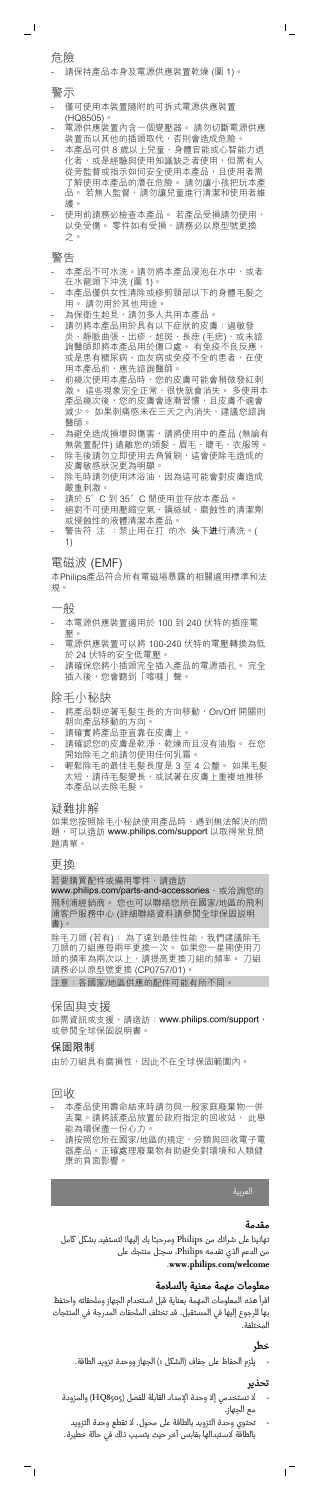危險

 $\overline{\phantom{a}}$ 

請保持產品本身及電源供應裝置乾燥 (圖 1)

警示

- 僅可使用本裝置隨附的可拆式電源供應裝置
- 
- (HQ8505)。<br>電源供應裝置內含 - 電源供應裝置內含一個變壓器。 請勿切斷電源供應 装置而以其他的插頭取代,否則會造成危險。

 $\overline{1}$ 

- 本電源供應裝置適用於 100 到 240 伏特的插座電 壓。
- 電源供應裝置可以將 100-240 伏特的電壓轉換為低 於 24 伏特的安全低電壓。
- 請確保您將小插頭完全插入產品的電源插孔。 完全 插入後,您會聽到「喀噠」聲。
- 本產品可供 8 歲以上兒童、身體官能或心智能力退 化者,或是經驗與使用知識缺乏者使用,但需有人 從旁監督或指示如何安全使用本產品,且使用者需 了解使用本產品的潛在危險。 請勿讓小孩把玩本產 品。若無人監督,請勿讓兒童進行清潔和使用者維 護。
- ...<br>使用前請務必檢查本產品。 若產品受損請勿使用, 以免受傷。 零件如有受損,請務必以原型號更換 之。
- 警告
- 本產品不可水洗。請勿將本產品浸泡在水中,或者 在水龍頭下沖洗 (圖 1)。
- 本產品僅供女性清除或修剪頸部以下的身體毛髮之 用。 請勿用於其他用途。
- 為保衛生起見,請勿多人共用本產品
- 請勿將本產品用於具有以下症狀的皮膚:過敏發 炎、靜脈曲張、出疹、起斑、長痣 (毛痣),或未諮 詢醫師即將本產品用於傷口處。 有免疫不良反應, 或是患有糖尿病、血友病或免疫不全的患者,在使 用本產品前,應先諮詢醫師。
- 前幾次使用本產品時,您的皮膚可能會稍微發紅刺 激。 這些現象完全正常,很快就會消失。 多使用本 産品幾次後,您的皮膚會逐漸習慣,且皮膚不適會 減少。如果刺痛感未在三天之內消失,建議您諮詢 醫師。
- 為避免造成損壞與傷害,請將使用中的產品 (無論有 無裝置配件) 遠離您的頭髮、眉毛、睫毛、衣服等。
- 除毛後請勿立即使用去角質刷,這會使除毛造成的 皮膚敏感狀況更為明顯。
- 除毛時請勿使用沐浴油,因為這可能會對皮膚造成 …<br>嚴重刺激。<br>請於 5°C
- 。<br>C 到 35°C 間使用並存放本產品。
- 綿数と こここのコース<br>- 絶對不可使用壓縮空氣、鋼絲絨、磨蝕性的清潔劑 或侵蝕性的液體清潔本產品。<br>警告符 注 :禁止用在打 的水 **头下进**行清洗。(
- 警告符 注 :禁止用在打 1)

- 將產品朝逆著毛髮生長的方向移動, On/Off 開關則 朝向產品移動的方向。
- 請確實將產品垂直靠在皮膚上
- 請確認您的皮膚是乾淨、乾燥而且沒有油脂。 在您 開始除毛之前請勿使用任何乳霜。<br>開始除毛之前請勿使用任何乳霜。
- 輕鬆除毛的最佳毛髮長度是 3 至 4 公釐。 如果毛髮 太短,請待毛髮變長,或試著在皮膚上重複地推移 本產品以去除毛髮。

如果您按照除毛小秘訣使用產品時,遇到無法解決的問 題,可以造訪 **www.philips.com/support** 以取得常見問 題清單。

www.philips.com/parts-and-accessories,或洽詢您的 飛利浦經銷商。 您也可以聯絡您所在國家/地區的飛利 浦客戶服務中心 (詳細聯絡資料請參閱全球保固說明 書)。

除毛刀頭 (若有): 為了達到最佳性能,我們建議除毛 刀頭的刀組應每兩年更換一次。 如果您一星期使用刀 頭的頻率為兩次以上,請提高更換刀組的頻率。 刀組 請務必以原型號更換 (CP0757/01)。

### 電磁波 (EMF)

本Philips產品符合所有電磁場暴露的相關適用標準和法 規。

一般

除毛小秘訣

### 疑難排解

更換

若要購買配件或備用零件,請造訪

注意:各國家/地區供應的配件可能有所不同。

### 保固與支援

如需資訊或支援,請造訪:**www.philips.com/support**, 或參閱全球保固說明書。

### 保固限制

由於刀組具有磨損性,因此不在全球保固範圍內。

回收

 $^{-}$ 

- 本產品使用壽命結束時請勿與一般家庭廢棄物一併 丢棄。請將該產品放置於政府指定的回收站, 此舉 能為環保盡一份心力。
- 請按照您所在國家/地區的規定,分類與回收電子電 器產品。正確處理廢棄物有助避免對環境和人類健 康的負面影響。

العربية

### **مقدمة**

تهانينا على شرائك من Philips ومرحبـًا بك إليها! لتستفيد بشكل كامل من الدعم الذي تقدمه Philips، سجـّل منتجك على .**www.philips.com/welcome**

## **معلومات مهمة معنية بالسلامة**

اقرأ هذه المعلومات المهمة بعناية قبل استخدام الجهاز وملحقاته واحتفظ بها للرجوع إليها في المستقبل. قد تختلف الملحقات المدرجة في المنتجات المختلفة.

## **خطر**

- يلزم الحفاظ على جفاف (الشكل 1) الجهاز ووحدة تزويد الطاقة.

### **تحذير**

ıT

- لا تستخدمي إلا وحدة الإمداد القابلة للفصل (8505HQ (والمزودة مع الجهاز.
- تحتوي وحدة التزويد بالطاقة على محول. لا تقطع وحدة التزويد بالطاقة لاستبدالها بقابس آخر حيث يتسبب ذلك في حالة خطيرة.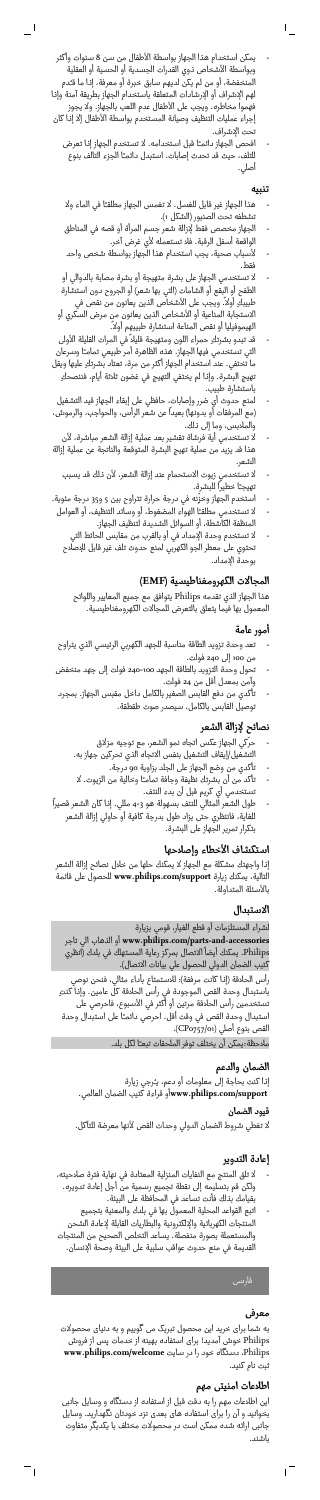- يمكن استخدام هذا الجهاز بواسطة الأطفال من سن 8 سنوات وأكثر وبواسطة الأشخاص ذوي القدرات الجسدية أو الحسية أو العقلية المنخفضة، أو من لم يكن لديهم سابق خبرة أو معرفة، إذا ما قـُدم لهم الإشراف أو الإرشادات المتعلقة باستخدام الجهاز بطريقة آمنة وإذا فهموا مخاطره. ويجب على الأطفال عدم اللعب بالجهاز. ولا يجوز إجراء عمليات التنظيف وصيانة المستخدم بواسطة الأطفال إلا إذا كان تحت الإشراف.

 $-$ <sup>1</sup>

- افحص الجهاز دائمـًا قبل استخدامه. لا تستخدم الجهاز إذا تعرض للتلف، حيث قد تحدث إصابات. استبدل دائمـًا الجزء التالف بنوع أصلي.

### **تنبيه**

- هذا الجهاز غير قابل للغسل .لا تغمس الجهاز مطلقـًا في الماء ولا تشطفه تحت الصنبور (الشكل 1).
- الجهاز مخصص فقط لإزالة شعر جسم المرأة أو قصه في المناطق الواقعة أسفل الرقبة. فلا تستعمله لأي غرض آخر.
- لأسباب صحية، يجب استخدام هذا الجهاز بواسطة شخص واحد فقط.
- لا تستخدمي الجهاز على بشرة متهيجة أو بشرة مصابة بالدوالي أو الطفح أو البقع أو الشامات (التي بها شعر) أو الجروح دون استشارة طبيبكِ أولاً. ويجب على الأشخاص الذين يعانون من نقص في الاستجابة المناعية أو الأشخاص الذين يعانون من مرض السكري أو الهيموفيليا أو نقص المناعة استشارة طبيبهم أولاً.
- قد تبدو بشرتكِ حمراء اللون ومتهيجة قليلاً في المرات القليلة الأولى التي تستخدمي فيها الجهاز. هذه الظاهرة أمر طبيعي تمامـًا وسرعان ما تختفي. عند استخدام الجهاز أكثر من مرة، تعتاد بشرتكِ عليها ويقل تهيج البشرة. وإذا لم يختفي التهيج في غضون ثلاثة أيام، فننصحكِ باستشارة طبيب.
- .<br>لمنع حدوث أي ضرر وإصابات، حافظي على إبقاء الجهاز قيد التشغيل (مع المرفقات أو بدونها) بعيدًا عن شعر الرأس، والحواجب، والرموش، والملابس، وما إلى ذلك.
- لا تستخدمي أية فرشاة تقشير بعد عملية إزالة الشعر مباشرة، لأن هذا قد يزيد من عملية تهيج البشرة المتوقعة والناتجة عن عملية إزالة الشعر.
	- لا تستخدمي زيوت الاستحمام عند إزالة الشعر، لأن ذلك قد يسبب تهيجـًا خطيرًا للبشرة.
- استخدم الجهاز وخزِّنه في درجة حرارة تتراوح بين 5 و35 درجة مئوية. - لا تستخدمي مطلقـًا الهواء المضغوط، أو وسائد التنظيف، أو العوامل
	- المنظفة الكاشطة، أو السوائل الشديدة لتنظيف الجهاز.
	- لا تستخدم وحدة الإمداد في أو بالقرب من مقابس الحائط التي تحتوي على معطر الجو الكهربي لمنع حدوث تلف غير قابل للإصلاح بوحدة الإمداد.

## **المجالات الكهرومغناطيسية (EMF(**

هذا الجهاز الذي تقدمه Philips يتوافق مع جميع المعايير واللوائح المعمول بها فيما يتعلق بالتعرض للمجالات الكهرومغناطيسية.

### **أمور عامة**

- تعد وحدة تزويد الطاقة مناسبة للجهد الكهربي الرئيسي الذي يتراوح من 100 إلى 240 فولت.
- تحول وحدة التزويد بالطاقة الجهد 240-100 فولت إلى جهد منخفض وآمن بمعدل أقل من 24 فولت.
- تأكدي من دفع القابس الصغير بالكامل داخل مقبس الجهاز. بمجرد توصيل القابس بالكامل، سيصدر صوت طقطقة.

## **نصائح لإزالة الشعر**

- حرّكي الجهاز عكس اتجاه نمو الشعر، مع توجيه مزلاق التشغيل/إيقاف التشغيل بنفس الاتجاه الذي تحركين جهاز به.
- تأكدي من وضع الجهاز على الجلد بزاوية 90 درجة. - تأكد من أن بشرتك نظيفة وجافة تمامـًا وخالية من الزيوت. لا
	- تستخدمي أي كريم قبل أن بدء النتف.
- طول الشعر المثالي للنتف بسهولة هو 4-3 مللي. إذا كان الشعر قصيرًا للغاية، فانتظري حتى يزاد طول بدرجة كافية أو حاولي إزالة الشعر بتكرار تمرير الجهاز على البشرة.

### **استكشاف الأخطاء وإصلاحها**

إذا واجهتك مشكلة مع الجهاز لا يمكنك حلها من خلال نصائح إزالة الشعر التالية، يمكنك زيارة **support/com.philips.www** للحصول على قائمة بالأسئلة المتداولة.

### **الاستبدال**

لشراء المستلزمات أو قطع الغيار، قومي بزيارة تاجر الي الذهاب أو **www.philips.com/parts-and-accessories** Philips. يمكنك أيضاً الاتصال بمركز رعاية المستهلك في بلدك (انظري كتيب الضمان الدولي للحصول علي بيانات الاتصال). رأس الحلاقة (إذا كانت مرفقة): للاستمتاع بأداء مثالي، فنحن نوصي باستبدال وحدة القص الموجودة في رأس الحلاقة كل عامين. وإذا كنتِ تستخدمين رأس الحلاقة مرتين أو أكثر في الأسبوع، فاحرصي على استبدال وحدة القص في وقت أقل. احرصي دائمـًا على استبدال وحدة القص بنوع أصلي (CPo757/01). ملاحظة:يمكن أن يختلف توفر الملحقات تبعـًا لكل بلد.

# **الضمان والدعم**

إذا كنت بحاجة إلى معلومات أو دعم، يـُرجي زيارة  **support/com.philips.www**أو قراءة كتيب الضمان العالمي.

**قيود الضمان** لا تغطي شروط الضمان الدولي وحدات القص لأنها معرضة للتآكل.

## **إعادة التدوير**

- لا تلق المنتج مع النفايات المنزلية المعتادة في نهاية فترة صلاحيته، ولكن قم بتسليمه إلى نقطة تجميع رسمية من أجل إعادة تدويره. بقيامك بذلك فأنت تساعد في المحافظة على البيئة.
- اتبع القواعد المحلية المعمول بها في بلدك والمعنية بتجميع المنتجات الكهربائية والإلكترونية والبطاريات القابلة لإعادة الشحن والمستعملة بصورة منفصلة. يساعد التخلص الصحيح من المنتجات القديمة في منع حدوث عواقب سلبية على البيئة وصحة الإنسان.

## **معرفی**

 $\sqrt{ }$ 

به شما برای خرید این محصول تبریک می گوییم و به دنیای محصولات Philips خوش آمدید! برای استفاده بهینه از خدمات پس از فروش Philips، دستگاه خود را در سایت **welcome/com.philips.www** ثبت نام کنید.

## **اطلاعات امنیتی مهم**

این اطلاعات مهم را به دقت قبل از استفاده از دستگاه و وسایل جانبی بخوانید و آن را برای استفاده های بعدی نزد خودتان نگهدارید. وسایل جانبی ارائه شده ممکن است در محصولات مختلف با یکدیگر متفاوت باشند.

 $^{-}$